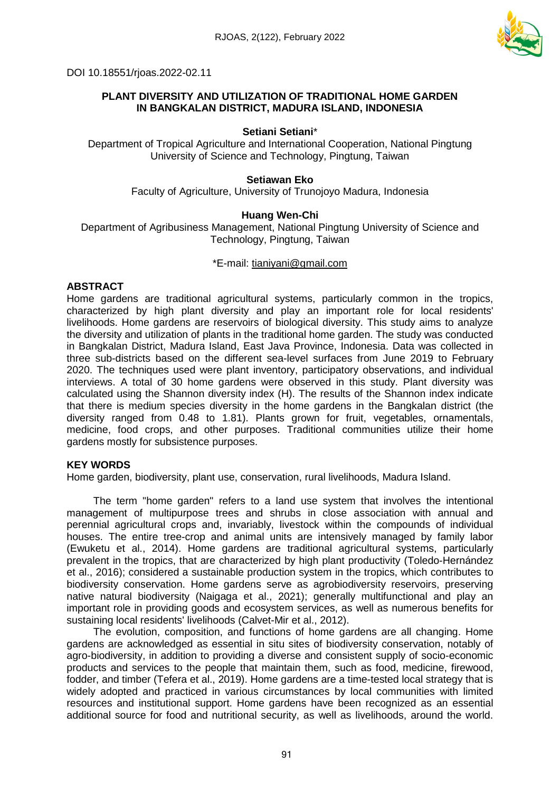

DOI 10.18551/rjoas.2022-02.11

# **PLANT DIVERSITY AND UTILIZATION OF TRADITIONAL HOME GARDEN IN BANGKALAN DISTRICT, MADURA ISLAND, INDONESIA**

### **Setiani Setiani**\*

Department of Tropical Agriculture and International Cooperation, National Pingtung University of Science and Technology, Pingtung, Taiwan

### **Setiawan Eko**

Faculty of Agriculture, University of Trunojoyo Madura, Indonesia

## **Huang Wen-Chi**

Department of Agribusiness Management, National Pingtung University of Science and Technology, Pingtung, Taiwan

### \*E-mail: [tianiyani@gmail.com](mailto:tianiyani@gmail.com)

## **ABSTRACT**

Home gardens are traditional agricultural systems, particularly common in the tropics, characterized by high plant diversity and play an important role for local residents' livelihoods. Home gardens are reservoirs of biological diversity. This study aims to analyze the diversity and utilization of plants in the traditional home garden. The study was conducted in Bangkalan District, Madura Island, East Java Province, Indonesia. Data was collected in three sub-districts based on the different sea-level surfaces from June 2019 to February 2020. The techniques used were plant inventory, participatory observations, and individual interviews. A total of 30 home gardens were observed in this study. Plant diversity was calculated using the Shannon diversity index (H). The results of the Shannon index indicate that there is medium species diversity in the home gardens in the Bangkalan district (the diversity ranged from 0.48 to 1.81). Plants grown for fruit, vegetables, ornamentals, medicine, food crops, and other purposes. Traditional communities utilize their home gardens mostly for subsistence purposes.

## **KEY WORDS**

Home garden, biodiversity, plant use, conservation, rural livelihoods, Madura Island.

The term "home garden" refers to a land use system that involves the intentional management of multipurpose trees and shrubs in close association with annual and perennial agricultural crops and, invariably, livestock within the compounds of individual houses. The entire tree-crop and animal units are intensively managed by family labor (Ewuketu et al., 2014). Home gardens are traditional agricultural systems, particularly prevalent in the tropics, that are characterized by high plant productivity (Toledo-Hernández et al., 2016); considered a sustainable production system in the tropics, which contributes to biodiversity conservation. Home gardens serve as agrobiodiversity reservoirs, preserving native natural biodiversity (Naigaga et al., 2021); generally multifunctional and play an important role in providing goods and ecosystem services, as well as numerous benefits for sustaining local residents' livelihoods (Calvet-Mir et al., 2012).

The evolution, composition, and functions of home gardens are all changing. Home gardens are acknowledged as essential in situ sites of biodiversity conservation, notably of agro-biodiversity, in addition to providing a diverse and consistent supply of socio-economic products and services to the people that maintain them, such as food, medicine, firewood, fodder, and timber (Tefera et al., 2019). Home gardens are a time-tested local strategy that is widely adopted and practiced in various circumstances by local communities with limited resources and institutional support. Home gardens have been recognized as an essential additional source for food and nutritional security, as well as livelihoods, around the world.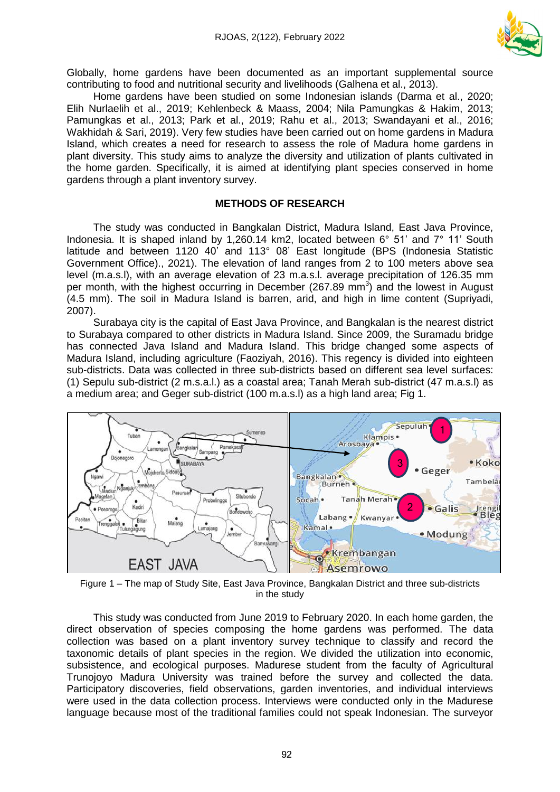

Globally, home gardens have been documented as an important supplemental source contributing to food and nutritional security and livelihoods (Galhena et al., 2013).

Home gardens have been studied on some Indonesian islands (Darma et al., 2020; Elih Nurlaelih et al., 2019; Kehlenbeck & Maass, 2004; Nila Pamungkas & Hakim, 2013; Pamungkas et al., 2013; Park et al., 2019; Rahu et al., 2013; Swandayani et al., 2016; Wakhidah & Sari, 2019). Very few studies have been carried out on home gardens in Madura Island, which creates a need for research to assess the role of Madura home gardens in plant diversity. This study aims to analyze the diversity and utilization of plants cultivated in the home garden. Specifically, it is aimed at identifying plant species conserved in home gardens through a plant inventory survey.

### **METHODS OF RESEARCH**

The study was conducted in Bangkalan District, Madura Island, East Java Province, Indonesia. It is shaped inland by 1,260.14 km2, located between 6° 51' and 7° 11' South latitude and between 1120 40' and 113° 08' East longitude (BPS (Indonesia Statistic Government Office)., 2021). The elevation of land ranges from 2 to 100 meters above sea level (m.a.s.l), with an average elevation of 23 m.a.s.l. average precipitation of 126.35 mm per month, with the highest occurring in December (267.89 mm<sup>3</sup>) and the lowest in August (4.5 mm). The soil in Madura Island is barren, arid, and high in lime content (Supriyadi, 2007).

Surabaya city is the capital of East Java Province, and Bangkalan is the nearest district to Surabaya compared to other districts in Madura Island. Since 2009, the Suramadu bridge has connected Java Island and Madura Island. This bridge changed some aspects of Madura Island, including agriculture (Faoziyah, 2016). This regency is divided into eighteen sub-districts. Data was collected in three sub-districts based on different sea level surfaces: (1) Sepulu sub-district (2 m.s.a.l.) as a coastal area; Tanah Merah sub-district (47 m.a.s.l) as a medium area; and Geger sub-district (100 m.a.s.l) as a high land area; Fig 1.



Figure 1 – The map of Study Site, East Java Province, Bangkalan District and three sub-districts in the study

This study was conducted from June 2019 to February 2020. In each home garden, the direct observation of species composing the home gardens was performed. The data collection was based on a plant inventory survey technique to classify and record the taxonomic details of plant species in the region. We divided the utilization into economic, subsistence, and ecological purposes. Madurese student from the faculty of Agricultural Trunojoyo Madura University was trained before the survey and collected the data. Participatory discoveries, field observations, garden inventories, and individual interviews were used in the data collection process. Interviews were conducted only in the Madurese language because most of the traditional families could not speak Indonesian. The surveyor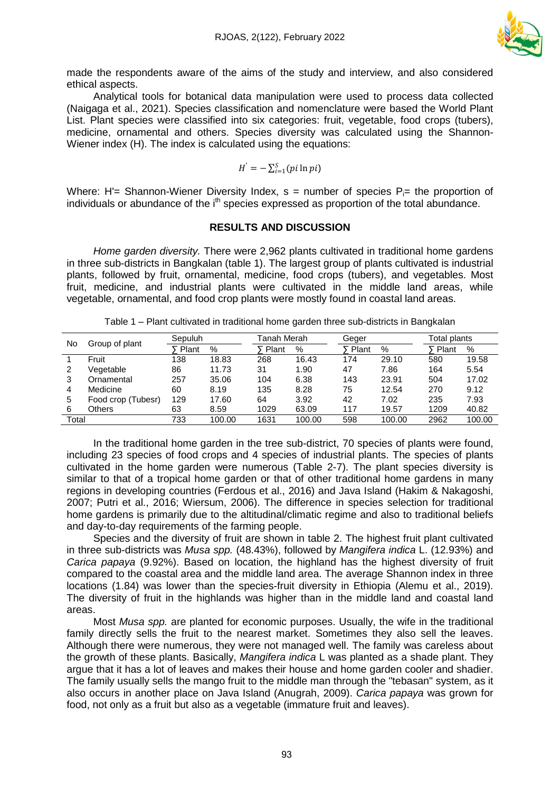

made the respondents aware of the aims of the study and interview, and also considered ethical aspects.

Analytical tools for botanical data manipulation were used to process data collected (Naigaga et al., 2021). Species classification and nomenclature were based the World Plant List. Plant species were classified into six categories: fruit, vegetable, food crops (tubers), medicine, ornamental and others. Species diversity was calculated using the Shannon-Wiener index (H). The index is calculated using the equations:

$$
H^{'}=-\sum_{i=1}^{S}(pi\ln pi)
$$

Where: H'= Shannon-Wiener Diversity Index,  $s$  = number of species  $P_i$ = the proportion of individuals or abundance of the i<sup>th</sup> species expressed as proportion of the total abundance.

#### **RESULTS AND DISCUSSION**

*Home garden diversity.* There were 2,962 plants cultivated in traditional home gardens in three sub-districts in Bangkalan (table 1). The largest group of plants cultivated is industrial plants, followed by fruit, ornamental, medicine, food crops (tubers), and vegetables. Most fruit, medicine, and industrial plants were cultivated in the middle land areas, while vegetable, ornamental, and food crop plants were mostly found in coastal land areas.

| No    | Group of plant     | Sepuluh |        |         | Tanah Merah |         |        | Total plants |        |  |
|-------|--------------------|---------|--------|---------|-------------|---------|--------|--------------|--------|--|
|       |                    | Plant   | %      | F Plant | %           | F Plant | %      | ∑ Plant      | %      |  |
|       | Fruit              | 138     | 18.83  | 268     | 16.43       | 174     | 29.10  | 580          | 19.58  |  |
|       | Vegetable          | 86      | 11.73  | 31      | 1.90        | 47      | 7.86   | 164          | 5.54   |  |
| 3     | Ornamental         | 257     | 35.06  | 104     | 6.38        | 143     | 23.91  | 504          | 17.02  |  |
| 4     | Medicine           | 60      | 8.19   | 135     | 8.28        | 75      | 12.54  | 270          | 9.12   |  |
| 5     | Food crop (Tubesr) | 129     | 17.60  | 64      | 3.92        | 42      | 7.02   | 235          | 7.93   |  |
| 6     | <b>Others</b>      | 63      | 8.59   | 1029    | 63.09       | 117     | 19.57  | 1209         | 40.82  |  |
| Total |                    | 733     | 100.00 | 1631    | 100.00      | 598     | 100.00 | 2962         | 100.00 |  |

Table 1 – Plant cultivated in traditional home garden three sub-districts in Bangkalan

In the traditional home garden in the tree sub-district, 70 species of plants were found, including 23 species of food crops and 4 species of industrial plants. The species of plants cultivated in the home garden were numerous (Table 2-7). The plant species diversity is similar to that of a tropical home garden or that of other traditional home gardens in many regions in developing countries (Ferdous et al., 2016) and Java Island (Hakim & Nakagoshi, 2007; Putri et al., 2016; Wiersum, 2006). The difference in species selection for traditional home gardens is primarily due to the altitudinal/climatic regime and also to traditional beliefs and day-to-day requirements of the farming people.

Species and the diversity of fruit are shown in table 2. The highest fruit plant cultivated in three sub-districts was *Musa spp.* (48.43%), followed by *Mangifera indica* L. (12.93%) and *Carica papaya* (9.92%). Based on location, the highland has the highest diversity of fruit compared to the coastal area and the middle land area. The average Shannon index in three locations (1.84) was lower than the species-fruit diversity in Ethiopia (Alemu et al., 2019). The diversity of fruit in the highlands was higher than in the middle land and coastal land areas.

Most *Musa spp.* are planted for economic purposes. Usually, the wife in the traditional family directly sells the fruit to the nearest market. Sometimes they also sell the leaves. Although there were numerous, they were not managed well. The family was careless about the growth of these plants. Basically, *Mangifera indica* L was planted as a shade plant. They argue that it has a lot of leaves and makes their house and home garden cooler and shadier. The family usually sells the mango fruit to the middle man through the "tebasan" system, as it also occurs in another place on Java Island (Anugrah, 2009). *Carica papaya* was grown for food, not only as a fruit but also as a vegetable (immature fruit and leaves).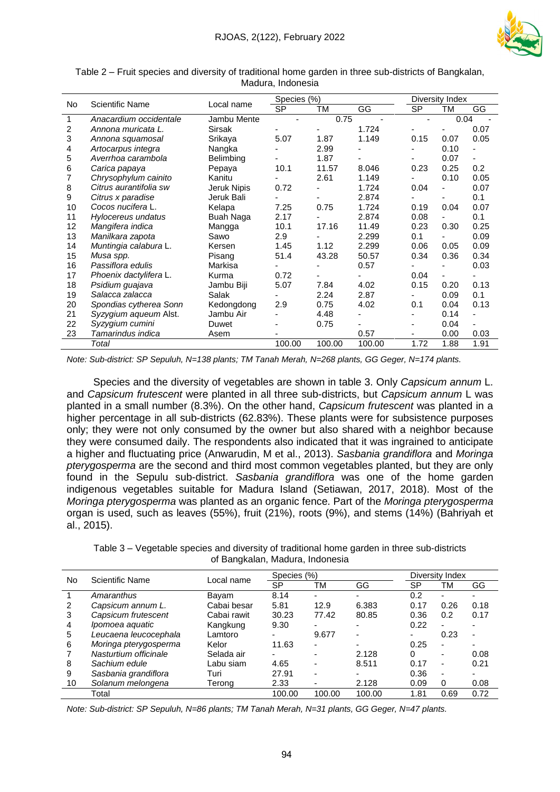

| No. | <b>Scientific Name</b> | Local name       | Species (%)    |                |        | Diversity Index |                |                          |  |
|-----|------------------------|------------------|----------------|----------------|--------|-----------------|----------------|--------------------------|--|
|     |                        |                  | <b>SP</b>      | <b>TM</b>      | GG     | <b>SP</b>       | TM             | GG                       |  |
| 1   | Anacardium occidentale | Jambu Mente      | $\blacksquare$ | 0.75           |        |                 | 0.04           |                          |  |
| 2   | Annona muricata L.     | <b>Sirsak</b>    |                |                | 1.724  |                 |                | 0.07                     |  |
| 3   | Annona squamosal       | Srikaya          | 5.07           | 1.87           | 1.149  | 0.15            | 0.07           | 0.05                     |  |
| 4   | Artocarpus integra     | Nangka           |                | 2.99           | ۰      |                 | 0.10           |                          |  |
| 5   | Averrhoa carambola     | Belimbing        |                | 1.87           |        |                 | 0.07           |                          |  |
| 6   | Carica papaya          | Pepaya           | 10.1           | 11.57          | 8.046  | 0.23            | 0.25           | 0.2                      |  |
| 7   | Chrysophylum cainito   | Kanitu           |                | 2.61           | 1.149  |                 | 0.10           | 0.05                     |  |
| 8   | Citrus aurantifolia sw | Jeruk Nipis      | 0.72           |                | 1.724  | 0.04            | ٠              | 0.07                     |  |
| 9   | Citrus x paradise      | Jeruk Bali       |                |                | 2.874  |                 | ٠              | 0.1                      |  |
| 10  | Cocos nucifera L.      | Kelapa           | 7.25           | 0.75           | 1.724  | 0.19            | 0.04           | 0.07                     |  |
| 11  | Hylocereus undatus     | <b>Buah Naga</b> | 2.17           |                | 2.874  | 0.08            |                | 0.1                      |  |
| 12  | Mangifera indica       | Mangga           | 10.1           | 17.16          | 11.49  | 0.23            | 0.30           | 0.25                     |  |
| 13  | Manilkara zapota       | Sawo             | 2.9            |                | 2.299  | 0.1             |                | 0.09                     |  |
| 14  | Muntingia calabura L.  | Kersen           | 1.45           | 1.12           | 2.299  | 0.06            | 0.05           | 0.09                     |  |
| 15  | Musa spp.              | Pisang           | 51.4           | 43.28          | 50.57  | 0.34            | 0.36           | 0.34                     |  |
| 16  | Passiflora edulis      | Markisa          |                |                | 0.57   |                 |                | 0.03                     |  |
| 17  | Phoenix dactylifera L. | Kurma            | 0.72           | $\blacksquare$ |        | 0.04            | $\blacksquare$ |                          |  |
| 18  | Psidium guajava        | Jambu Biji       | 5.07           | 7.84           | 4.02   | 0.15            | 0.20           | 0.13                     |  |
| 19  | Salacca zalacca        | Salak            |                | 2.24           | 2.87   |                 | 0.09           | 0.1                      |  |
| 20  | Spondias cytherea Sonn | Kedongdong       | 2.9            | 0.75           | 4.02   | 0.1             | 0.04           | 0.13                     |  |
| 21  | Syzygium aqueum Alst.  | Jambu Air        |                | 4.48           | ٠      |                 | 0.14           | $\overline{\phantom{0}}$ |  |
| 22  | Syzygium cumini        | Duwet            |                | 0.75           |        |                 | 0.04           |                          |  |
| 23  | Tamarindus indica      | Asem             |                |                | 0.57   |                 | 0.00           | 0.03                     |  |
|     | Total                  |                  | 100.00         | 100.00         | 100.00 | 1.72            | 1.88           | 1.91                     |  |

Table 2 – Fruit species and diversity of traditional home garden in three sub-districts of Bangkalan, Madura, Indonesia

*Note: Sub-district: SP Sepuluh, N=138 plants; TM Tanah Merah, N=268 plants, GG Geger, N=174 plants.*

Species and the diversity of vegetables are shown in table 3. Only *Capsicum annum* L. and *Capsicum frutescent* were planted in all three sub-districts, but *Capsicum annum* L was planted in a small number (8.3%). On the other hand, *Capsicum frutescent* was planted in a higher percentage in all sub-districts (62.83%). These plants were for subsistence purposes only; they were not only consumed by the owner but also shared with a neighbor because they were consumed daily. The respondents also indicated that it was ingrained to anticipate a higher and fluctuating price (Anwarudin, M et al., 2013). *Sasbania grandiflora* and *Moringa pterygosperma* are the second and third most common vegetables planted, but they are only found in the Sepulu sub-district. *Sasbania grandiflora* was one of the home garden indigenous vegetables suitable for Madura Island (Setiawan, 2017, 2018). Most of the *Moringa pterygosperma* was planted as an organic fence. Part of the *Moringa pterygosperma* organ is used, such as leaves (55%), fruit (21%), roots (9%), and stems (14%) (Bahriyah et al., 2015).

Table 3 – Vegetable species and diversity of traditional home garden in three sub-districts of Bangkalan, Madura, Indonesia

| No | Scientific Name       | Local name  | Species (%) |                          | Diversity Index          |      |                          |                          |
|----|-----------------------|-------------|-------------|--------------------------|--------------------------|------|--------------------------|--------------------------|
|    |                       |             | SP          | ТM                       | GG                       | SP   | ТM                       | GG                       |
|    | Amaranthus            | Bayam       | 8.14        |                          |                          | 0.2  |                          |                          |
| 2  | Capsicum annum L.     | Cabai besar | 5.81        | 12.9                     | 6.383                    | 0.17 | 0.26                     | 0.18                     |
| 3  | Capsicum frutescent   | Cabai rawit | 30.23       | 77.42                    | 80.85                    | 0.36 | 0.2                      | 0.17                     |
| 4  | Ipomoea aquatic       | Kangkung    | 9.30        | $\overline{\phantom{0}}$ | $\overline{\phantom{0}}$ | 0.22 | $\overline{\phantom{0}}$ | ۰                        |
| 5  | Leucaena leucocephala | Lamtoro     | -           | 9.677                    | $\overline{\phantom{0}}$ |      | 0.23                     | ٠                        |
| 6  | Moringa pterygosperma | Kelor       | 11.63       | $\overline{\phantom{0}}$ |                          | 0.25 | $\overline{\phantom{a}}$ | ۰                        |
|    | Nasturtium officinale | Selada air  | -           | $\overline{\phantom{0}}$ | 2.128                    | 0    |                          | 0.08                     |
| 8  | Sachium edule         | Labu siam   | 4.65        | $\overline{\phantom{0}}$ | 8.511                    | 0.17 | ٠                        | 0.21                     |
| 9  | Sasbania grandiflora  | Turi        | 27.91       | $\overline{\phantom{0}}$ | $\overline{\phantom{0}}$ | 0.36 | $\overline{\phantom{0}}$ | $\overline{\phantom{0}}$ |
| 10 | Solanum melongena     | Terong      | 2.33        | $\overline{\phantom{0}}$ | 2.128                    | 0.09 | 0                        | 0.08                     |
|    | Total                 |             | 100.00      | 100.00                   | 100.00                   | 1.81 | 0.69                     | 0.72                     |

*Note: Sub-district: SP Sepuluh, N=86 plants; TM Tanah Merah, N=31 plants, GG Geger, N=47 plants.*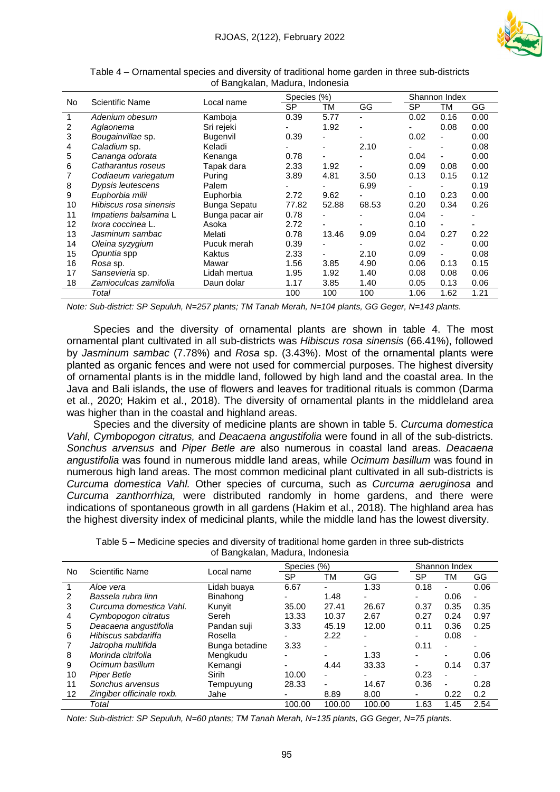

|           |                        |                     |             |       |                          | Shannon Index |                |      |  |
|-----------|------------------------|---------------------|-------------|-------|--------------------------|---------------|----------------|------|--|
| <b>No</b> | Scientific Name        | Local name          | Species (%) |       |                          |               |                |      |  |
|           |                        |                     | <b>SP</b>   | ТM    | GG                       | <b>SP</b>     | ТM             | GG   |  |
| 1         | Adenium obesum         | Kamboja             | 0.39        | 5.77  | ٠                        | 0.02          | 0.16           | 0.00 |  |
| 2         | Aglaonema              | Sri rejeki          |             | 1.92  | ٠                        |               | 0.08           | 0.00 |  |
| 3         | Bougainvillae sp.      | <b>Bugenvil</b>     | 0.39        |       |                          | 0.02          | -              | 0.00 |  |
| 4         | Caladium sp.           | Keladi              |             |       | 2.10                     |               | ۰.             | 0.08 |  |
| 5         | Cananga odorata        | Kenanga             | 0.78        | -     | $\overline{\phantom{0}}$ | 0.04          | $\blacksquare$ | 0.00 |  |
| 6         | Catharantus roseus     | Tapak dara          | 2.33        | 1.92  |                          | 0.09          | 0.08           | 0.00 |  |
|           | Codiaeum variegatum    | Puring              | 3.89        | 4.81  | 3.50                     | 0.13          | 0.15           | 0.12 |  |
| 8         | Dypsis leutescens      | Palem               |             |       | 6.99                     |               | -              | 0.19 |  |
| 9         | Euphorbia milii        | Euphorbia           | 2.72        | 9.62  |                          | 0.10          | 0.23           | 0.00 |  |
| 10        | Hibiscus rosa sinensis | <b>Bunga Sepatu</b> | 77.82       | 52.88 | 68.53                    | 0.20          | 0.34           | 0.26 |  |
| 11        | Impatiens balsamina L  | Bunga pacar air     | 0.78        |       |                          | 0.04          |                |      |  |
| 12        | Ixora coccinea L.      | Asoka               | 2.72        |       |                          | 0.10          | $\blacksquare$ | ۰    |  |
| 13        | Jasminum sambac        | Melati              | 0.78        | 13.46 | 9.09                     | 0.04          | 0.27           | 0.22 |  |
| 14        | Oleina syzygium        | Pucuk merah         | 0.39        |       |                          | 0.02          | -              | 0.00 |  |
| 15        | Opuntia spp            | Kaktus              | 2.33        |       | 2.10                     | 0.09          | -              | 0.08 |  |
| 16        | Rosa sp.               | Mawar               | 1.56        | 3.85  | 4.90                     | 0.06          | 0.13           | 0.15 |  |
| 17        | Sansevieria sp.        | Lidah mertua        | 1.95        | 1.92  | 1.40                     | 0.08          | 0.08           | 0.06 |  |
| 18        | Zamioculcas zamifolia  | Daun dolar          | 1.17        | 3.85  | 1.40                     | 0.05          | 0.13           | 0.06 |  |
|           | Total                  |                     | 100         | 100   | 100                      | 1.06          | 1.62           | 1.21 |  |

Table 4 – Ornamental species and diversity of traditional home garden in three sub-districts of Bangkalan, Madura, Indonesia

*Note: Sub-district: SP Sepuluh, N=257 plants; TM Tanah Merah, N=104 plants, GG Geger, N=143 plants.*

Species and the diversity of ornamental plants are shown in table 4. The most ornamental plant cultivated in all sub-districts was *Hibiscus rosa sinensis* (66.41%), followed by *Jasminum sambac* (7.78%) and *Rosa* sp. (3.43%). Most of the ornamental plants were planted as organic fences and were not used for commercial purposes. The highest diversity of ornamental plants is in the middle land, followed by high land and the coastal area. In the Java and Bali islands, the use of flowers and leaves for traditional rituals is common (Darma et al., 2020; Hakim et al., 2018). The diversity of ornamental plants in the middleland area was higher than in the coastal and highland areas.

Species and the diversity of medicine plants are shown in table 5. *Curcuma domestica Vahl*, *Cymbopogon citratus,* and *Deacaena angustifolia* were found in all of the sub-districts. *Sonchus arvensus* and *Piper Betle are* also numerous in coastal land areas. *Deacaena angustifolia* was found in numerous middle land areas, while *Ocimum basillum* was found in numerous high land areas. The most common medicinal plant cultivated in all sub-districts is *Curcuma domestica Vahl.* Other species of curcuma, such as *Curcuma aeruginosa* and *Curcuma zanthorrhiza,* were distributed randomly in home gardens, and there were indications of spontaneous growth in all gardens (Hakim et al., 2018). The highland area has the highest diversity index of medicinal plants, while the middle land has the lowest diversity.

|                   | Scientific Name           | Local name     | Species (%)              |                          |        | Shannon Index            |                          |      |  |
|-------------------|---------------------------|----------------|--------------------------|--------------------------|--------|--------------------------|--------------------------|------|--|
| No.               |                           |                | SP                       | ТM                       | GG     | SP                       | ТM                       | GG   |  |
|                   | Aloe vera                 | Lidah buaya    | 6.67                     | $\overline{\phantom{0}}$ | 1.33   | 0.18                     | $\overline{\phantom{0}}$ | 0.06 |  |
| 2                 | Bassela rubra linn        | Binahong       | ٠                        | 1.48                     | Ξ.     |                          | 0.06                     |      |  |
| 3                 | Curcuma domestica Vahl.   | Kunvit         | 35.00                    | 27.41                    | 26.67  | 0.37                     | 0.35                     | 0.35 |  |
| 4                 | Cymbopogon citratus       | Sereh          | 13.33                    | 10.37                    | 2.67   | 0.27                     | 0.24                     | 0.97 |  |
| 5                 | Deacaena angustifolia     | Pandan suji    | 3.33                     | 45.19                    | 12.00  | 0.11                     | 0.36                     | 0.25 |  |
| 6                 | Hibiscus sabdariffa       | Rosella        | $\overline{\phantom{0}}$ | 2.22                     |        |                          | 0.08                     |      |  |
|                   | Jatropha multifida        | Bunga betadine | 3.33                     |                          |        | 0.11                     | $\overline{\phantom{0}}$ |      |  |
| 8                 | Morinda citrifolia        | Mengkudu       | $\overline{\phantom{0}}$ | $\overline{\phantom{0}}$ | 1.33   | $\overline{\phantom{0}}$ | $\overline{\phantom{0}}$ | 0.06 |  |
| 9                 | Ocimum basillum           | Kemangi        | $\overline{\phantom{a}}$ | 4.44                     | 33.33  |                          | 0.14                     | 0.37 |  |
| 10                | <b>Piper Betle</b>        | Sirih          | 10.00                    | ٠                        | -      | 0.23                     | $\overline{\phantom{0}}$ |      |  |
| 11                | Sonchus arvensus          | Tempuyung      | 28.33                    | $\blacksquare$           | 14.67  | 0.36                     | $\overline{\phantom{a}}$ | 0.28 |  |
| $12 \overline{ }$ | Zingiber officinale roxb. | Jahe           | $\overline{\phantom{a}}$ | 8.89                     | 8.00   | ۰                        | 0.22                     | 0.2  |  |
|                   | Total                     |                | 100.00                   | 100.00                   | 100.00 | 1.63                     | 1.45                     | 2.54 |  |

Table 5 – Medicine species and diversity of traditional home garden in three sub-districts of Bangkalan, Madura, Indonesia

*Note: Sub-district: SP Sepuluh, N=60 plants; TM Tanah Merah, N=135 plants, GG Geger, N=75 plants.*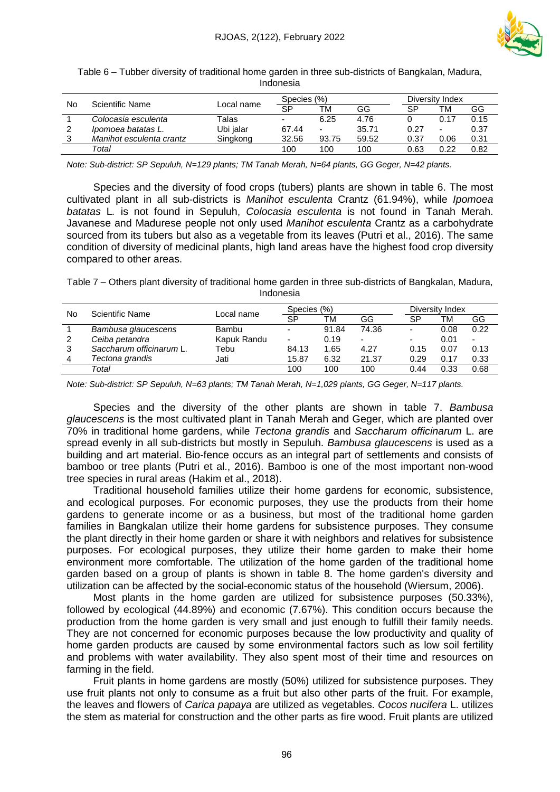

| No | Scientific Name          |            | Species (%) |       |       | Diversity Index |                          |      |  |  |  |  |
|----|--------------------------|------------|-------------|-------|-------|-----------------|--------------------------|------|--|--|--|--|
|    |                          | Local name | SP          | тм    | GG    | SP              | ТM                       | GG   |  |  |  |  |
|    | Colocasia esculenta      | Talas      | -           | 6.25  | 4.76  |                 | 0.17                     | 0.15 |  |  |  |  |
|    | Ipomoea batatas L.       | Ubi jalar  | 67.44       | ٠     | 35.71 | 0.27            | $\overline{\phantom{0}}$ | 0.37 |  |  |  |  |
| 3  | Manihot esculenta crantz | Singkong   | 32.56       | 93.75 | 59.52 | 0.37            | 0.06                     | 0.31 |  |  |  |  |
|    | Total                    |            | 100         | 100   | 100   | 0.63            | 0.22                     | 0.82 |  |  |  |  |

Table 6 – Tubber diversity of traditional home garden in three sub-districts of Bangkalan, Madura, Indonesia

*Note: Sub-district: SP Sepuluh, N=129 plants; TM Tanah Merah, N=64 plants, GG Geger, N=42 plants.*

Species and the diversity of food crops (tubers) plants are shown in table 6. The most cultivated plant in all sub-districts is *Manihot esculenta* Crantz (61.94%), while *Ipomoea batatas* L*.* is not found in Sepuluh, *Colocasia esculenta* is not found in Tanah Merah. Javanese and Madurese people not only used *Manihot esculenta* Crantz as a carbohydrate sourced from its tubers but also as a vegetable from its leaves (Putri et al., 2016). The same condition of diversity of medicinal plants, high land areas have the highest food crop diversity compared to other areas.

Table 7 – Others plant diversity of traditional home garden in three sub-districts of Bangkalan, Madura, Indonesia

| No | Scientific Name          |             | Species (%)              |       |                          | Diversity Index          |      |                          |  |
|----|--------------------------|-------------|--------------------------|-------|--------------------------|--------------------------|------|--------------------------|--|
|    |                          | Local name  | SP                       | ТM    | GG                       | SP                       | TM   | GG                       |  |
|    | Bambusa glaucescens      | Bambu       | $\overline{\phantom{0}}$ | 91.84 | 74.36                    |                          | 0.08 | 0.22                     |  |
| 2  | Ceiba petandra           | Kapuk Randu | $\overline{\phantom{0}}$ | 0.19  | $\overline{\phantom{0}}$ | $\overline{\phantom{0}}$ | 0.01 | $\overline{\phantom{a}}$ |  |
| 3  | Saccharum officinarum L. | Tebu        | 84.13                    | 1.65  | 4.27                     | 0.15                     | 0.07 | 0.13                     |  |
| 4  | Tectona grandis          | Jati        | 15.87                    | 6.32  | 21.37                    | 0.29                     | 0.17 | 0.33                     |  |
|    | Total                    |             | 100                      | 100   | 100                      | 0.44                     | 0.33 | 0.68                     |  |

*Note: Sub-district: SP Sepuluh, N=63 plants; TM Tanah Merah, N=1,029 plants, GG Geger, N=117 plants.*

Species and the diversity of the other plants are shown in table 7. *Bambusa glaucescens* is the most cultivated plant in Tanah Merah and Geger, which are planted over 70% in traditional home gardens, while *Tectona grandis* and *Saccharum officinarum* L. are spread evenly in all sub-districts but mostly in Sepuluh. *Bambusa glaucescens* is used as a building and art material. Bio-fence occurs as an integral part of settlements and consists of bamboo or tree plants (Putri et al., 2016). Bamboo is one of the most important non-wood tree species in rural areas (Hakim et al., 2018).

Traditional household families utilize their home gardens for economic, subsistence, and ecological purposes. For economic purposes, they use the products from their home gardens to generate income or as a business, but most of the traditional home garden families in Bangkalan utilize their home gardens for subsistence purposes. They consume the plant directly in their home garden or share it with neighbors and relatives for subsistence purposes. For ecological purposes, they utilize their home garden to make their home environment more comfortable. The utilization of the home garden of the traditional home garden based on a group of plants is shown in table 8. The home garden's diversity and utilization can be affected by the social-economic status of the household (Wiersum, 2006).

Most plants in the home garden are utilized for subsistence purposes (50.33%), followed by ecological (44.89%) and economic (7.67%). This condition occurs because the production from the home garden is very small and just enough to fulfill their family needs. They are not concerned for economic purposes because the low productivity and quality of home garden products are caused by some environmental factors such as low soil fertility and problems with water availability. They also spent most of their time and resources on farming in the field.

Fruit plants in home gardens are mostly (50%) utilized for subsistence purposes. They use fruit plants not only to consume as a fruit but also other parts of the fruit. For example, the leaves and flowers of *Carica papaya* are utilized as vegetables. *Cocos nucifera* L. utilizes the stem as material for construction and the other parts as fire wood. Fruit plants are utilized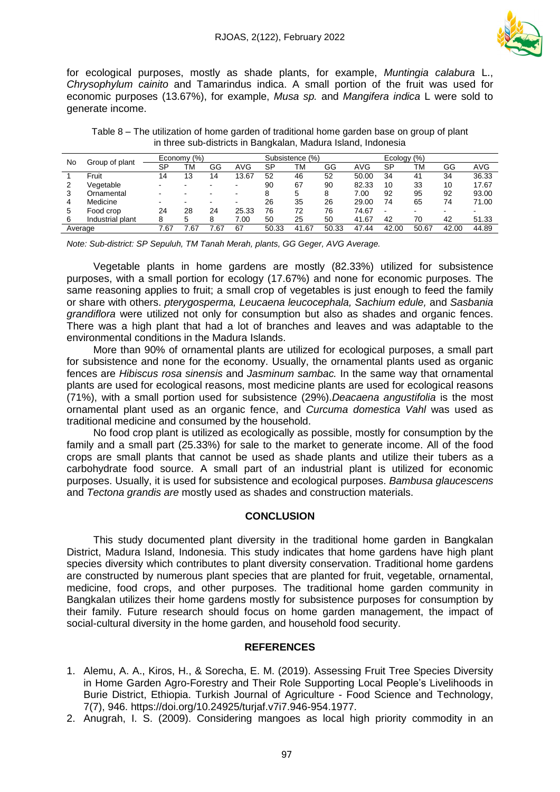

for ecological purposes, mostly as shade plants, for example, *Muntingia calabura* L., *Chrysophylum cainito* and Tamarindus indica. A small portion of the fruit was used for economic purposes (13.67%), for example, *Musa sp.* and *Mangifera indica* L were sold to generate income.

| No      | Group of plant   | Economy (%) |      |                          | (% )<br>Subsistence |       |       |       | Ecology (%) |       |                          |       |       |
|---------|------------------|-------------|------|--------------------------|---------------------|-------|-------|-------|-------------|-------|--------------------------|-------|-------|
|         |                  | SP          | TM   | GG                       | AVG                 | SP    | ТM    | GG    | AVG         | SP    | TM                       | GG    | AVG   |
|         | Fruit            | 14          | 13   | 14                       | 13.67               | 52    | 46    | 52    | 50.00       | 34    | 41                       | 34    | 36.33 |
|         | √eqetable        |             |      |                          |                     | 90    | 67    | 90    | 82.33       | 10    | 33                       | 10    | 17.67 |
| 3       | Ornamental       | -           |      | $\overline{\phantom{0}}$ |                     | 8     | 5     | 8     | 7.00        | 92    | 95                       | 92    | 93.00 |
| 4       | Medicine         | -           |      | $\blacksquare$           |                     | 26    | 35    | 26    | 29.00       | 74    | 65                       | 74    | 71.00 |
| 5       | Food crop        | 24          | 28   | 24                       | 25.33               | 76    | 72    | 76    | 74.67       |       | $\overline{\phantom{a}}$ | ٠     |       |
| 6       | Industrial plant | 8           | 5    | 8                        | 7.00                | 50    | 25    | 50    | 41.67       | 42    | 70                       | 42    | 51.33 |
| Average |                  | 7.67        | 1.67 | .67                      | 67                  | 50.33 | 41.67 | 50.33 | 47.44       | 42.00 | 50.67                    | 42.00 | 44.89 |

Table 8 – The utilization of home garden of traditional home garden base on group of plant in three sub-districts in Bangkalan, Madura Island, Indonesia

*Note: Sub-district: SP Sepuluh, TM Tanah Merah, plants, GG Geger, AVG Average.*

Vegetable plants in home gardens are mostly (82.33%) utilized for subsistence purposes, with a small portion for ecology (17.67%) and none for economic purposes. The same reasoning applies to fruit; a small crop of vegetables is just enough to feed the family or share with others. *pterygosperma, Leucaena leucocephala, Sachium edule,* and *Sasbania grandiflora* were utilized not only for consumption but also as shades and organic fences. There was a high plant that had a lot of branches and leaves and was adaptable to the environmental conditions in the Madura Islands.

More than 90% of ornamental plants are utilized for ecological purposes, a small part for subsistence and none for the economy. Usually, the ornamental plants used as organic fences are *Hibiscus rosa sinensis* and *Jasminum sambac.* In the same way that ornamental plants are used for ecological reasons, most medicine plants are used for ecological reasons (71%), with a small portion used for subsistence (29%).*Deacaena angustifolia* is the most ornamental plant used as an organic fence, and *Curcuma domestica Vahl* was used as traditional medicine and consumed by the household.

No food crop plant is utilized as ecologically as possible, mostly for consumption by the family and a small part (25.33%) for sale to the market to generate income. All of the food crops are small plants that cannot be used as shade plants and utilize their tubers as a carbohydrate food source. A small part of an industrial plant is utilized for economic purposes. Usually, it is used for subsistence and ecological purposes. *Bambusa glaucescens* and *Tectona grandis are* mostly used as shades and construction materials.

#### **CONCLUSION**

This study documented plant diversity in the traditional home garden in Bangkalan District, Madura Island, Indonesia. This study indicates that home gardens have high plant species diversity which contributes to plant diversity conservation. Traditional home gardens are constructed by numerous plant species that are planted for fruit, vegetable, ornamental, medicine, food crops, and other purposes. The traditional home garden community in Bangkalan utilizes their home gardens mostly for subsistence purposes for consumption by their family. Future research should focus on home garden management, the impact of social-cultural diversity in the home garden, and household food security.

### **REFERENCES**

- 1. Alemu, A. A., Kiros, H., & Sorecha, E. M. (2019). Assessing Fruit Tree Species Diversity in Home Garden Agro-Forestry and Their Role Supporting Local People's Livelihoods in Burie District, Ethiopia. Turkish Journal of Agriculture - Food Science and Technology, 7(7), 946. https://doi.org/10.24925/turjaf.v7i7.946-954.1977.
- 2. Anugrah, I. S. (2009). Considering mangoes as local high priority commodity in an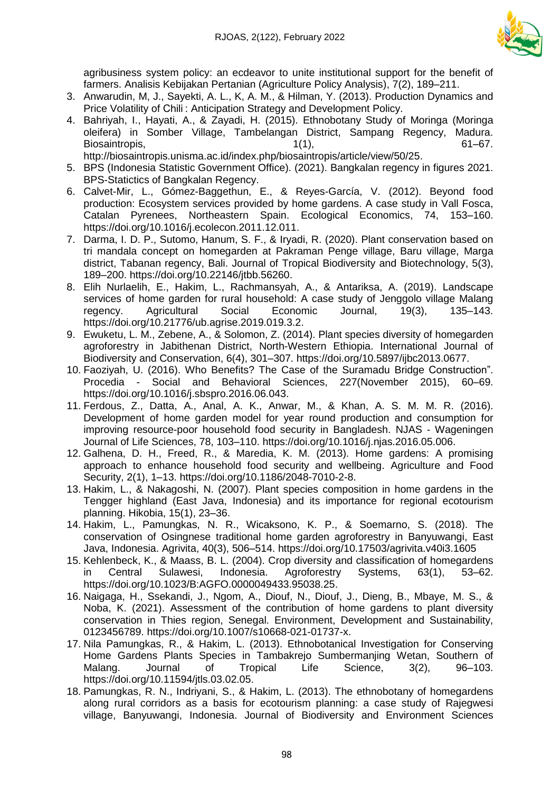

agribusiness system policy: an ecdeavor to unite institutional support for the benefit of farmers. Analisis Kebijakan Pertanian (Agriculture Policy Analysis), 7(2), 189–211.

- 3. Anwarudin, M, J., Sayekti, A. L., K, A. M., & Hilman, Y. (2013). Production Dynamics and Price Volatility of Chili : Anticipation Strategy and Development Policy.
- 4. Bahriyah, I., Hayati, A., & Zayadi, H. (2015). Ethnobotany Study of Moringa (Moringa oleifera) in Somber Village, Tambelangan District, Sampang Regency, Madura. Biosaintropis, 61–67.

http://biosaintropis.unisma.ac.id/index.php/biosaintropis/article/view/50/25.

- 5. BPS (Indonesia Statistic Government Office). (2021). Bangkalan regency in figures 2021. BPS-Statictics of Bangkalan Regency.
- 6. Calvet-Mir, L., Gómez-Baggethun, E., & Reyes-García, V. (2012). Beyond food production: Ecosystem services provided by home gardens. A case study in Vall Fosca, Catalan Pyrenees, Northeastern Spain. Ecological Economics, 74, 153–160. https://doi.org/10.1016/j.ecolecon.2011.12.011.
- 7. Darma, I. D. P., Sutomo, Hanum, S. F., & Iryadi, R. (2020). Plant conservation based on tri mandala concept on homegarden at Pakraman Penge village, Baru village, Marga district, Tabanan regency, Bali. Journal of Tropical Biodiversity and Biotechnology, 5(3), 189–200. https://doi.org/10.22146/jtbb.56260.
- 8. Elih Nurlaelih, E., Hakim, L., Rachmansyah, A., & Antariksa, A. (2019). Landscape services of home garden for rural household: A case study of Jenggolo village Malang regency. Agricultural Social Economic Journal, 19(3), 135–143. https://doi.org/10.21776/ub.agrise.2019.019.3.2.
- 9. Ewuketu, L. M., Zebene, A., & Solomon, Z. (2014). Plant species diversity of homegarden agroforestry in Jabithenan District, North-Western Ethiopia. International Journal of Biodiversity and Conservation, 6(4), 301–307. https://doi.org/10.5897/ijbc2013.0677.
- 10. Faoziyah, U. (2016). Who Benefits? The Case of the Suramadu Bridge Construction". Procedia - Social and Behavioral Sciences, 227(November 2015), 60–69. https://doi.org/10.1016/j.sbspro.2016.06.043.
- 11. Ferdous, Z., Datta, A., Anal, A. K., Anwar, M., & Khan, A. S. M. M. R. (2016). Development of home garden model for year round production and consumption for improving resource-poor household food security in Bangladesh. NJAS - Wageningen Journal of Life Sciences, 78, 103–110. https://doi.org/10.1016/j.njas.2016.05.006.
- 12. Galhena, D. H., Freed, R., & Maredia, K. M. (2013). Home gardens: A promising approach to enhance household food security and wellbeing. Agriculture and Food Security, 2(1), 1–13. https://doi.org/10.1186/2048-7010-2-8.
- 13. Hakim, L., & Nakagoshi, N. (2007). Plant species composition in home gardens in the Tengger highland (East Java, Indonesia) and its importance for regional ecotourism planning. Hikobia, 15(1), 23–36.
- 14. Hakim, L., Pamungkas, N. R., Wicaksono, K. P., & Soemarno, S. (2018). The conservation of Osingnese traditional home garden agroforestry in Banyuwangi, East Java, Indonesia. Agrivita, 40(3), 506–514. https://doi.org/10.17503/agrivita.v40i3.1605
- 15. Kehlenbeck, K., & Maass, B. L. (2004). Crop diversity and classification of homegardens in Central Sulawesi, Indonesia. Agroforestry Systems, 63(1), 53–62. https://doi.org/10.1023/B:AGFO.0000049433.95038.25.
- 16. Naigaga, H., Ssekandi, J., Ngom, A., Diouf, N., Diouf, J., Dieng, B., Mbaye, M. S., & Noba, K. (2021). Assessment of the contribution of home gardens to plant diversity conservation in Thies region, Senegal. Environment, Development and Sustainability, 0123456789. https://doi.org/10.1007/s10668-021-01737-x.
- 17. Nila Pamungkas, R., & Hakim, L. (2013). Ethnobotanical Investigation for Conserving Home Gardens Plants Species in Tambakrejo Sumbermanjing Wetan, Southern of Malang. Journal of Tropical Life Science, 3(2), 96–103. https://doi.org/10.11594/jtls.03.02.05.
- 18. Pamungkas, R. N., Indriyani, S., & Hakim, L. (2013). The ethnobotany of homegardens along rural corridors as a basis for ecotourism planning: a case study of Rajegwesi village, Banyuwangi, Indonesia. Journal of Biodiversity and Environment Sciences